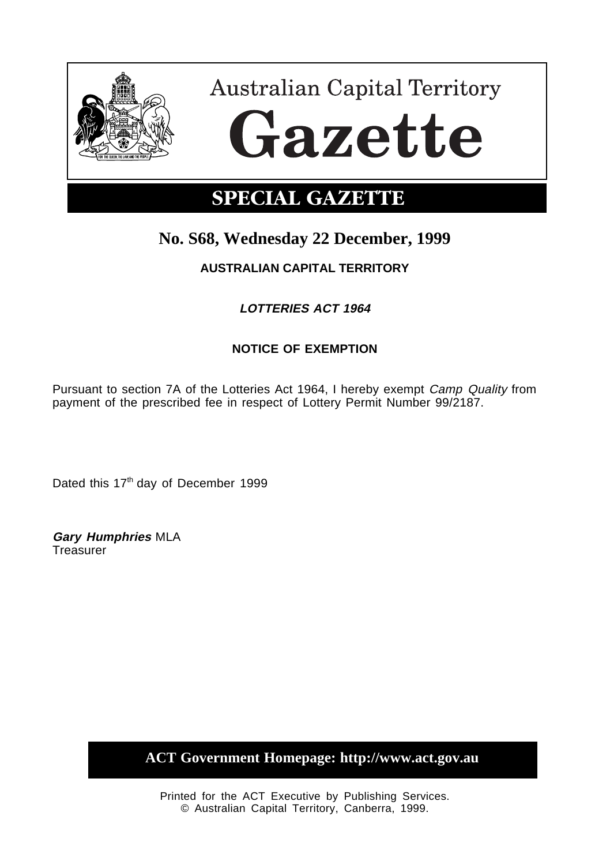

**Australian Capital Territory** Gazette

# **SPECIAL GAZETTE**

## **No. S68, Wednesday 22 December, 1999**

## **AUSTRALIAN CAPITAL TERRITORY**

## **LOTTERIES ACT 1964**

## **NOTICE OF EXEMPTION**

Pursuant to section 7A of the Lotteries Act 1964, I hereby exempt Camp Quality from payment of the prescribed fee in respect of Lottery Permit Number 99/2187.

Dated this 17<sup>th</sup> day of December 1999

**Gary Humphries** MLA Treasurer

**ACT Government Homepage: http://www.act.gov.au**

Printed for the ACT Executive by Publishing Services. © Australian Capital Territory, Canberra, 1999.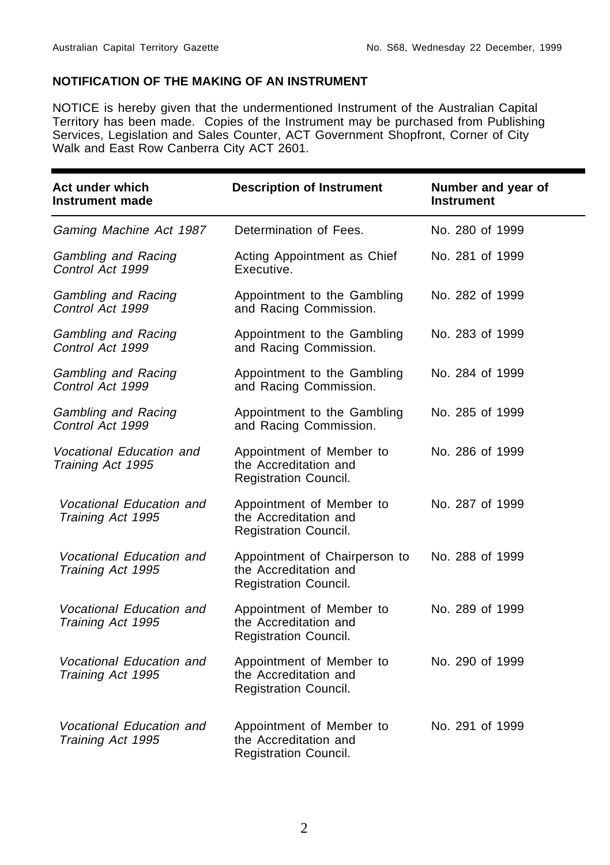#### **NOTIFICATION OF THE MAKING OF AN INSTRUMENT**

NOTICE is hereby given that the undermentioned Instrument of the Australian Capital Territory has been made. Copies of the Instrument may be purchased from Publishing Services, Legislation and Sales Counter, ACT Government Shopfront, Corner of City Walk and East Row Canberra City ACT 2601.

| Act under which<br><b>Instrument made</b>      | <b>Description of Instrument</b>                                                | Number and year of<br><b>Instrument</b> |
|------------------------------------------------|---------------------------------------------------------------------------------|-----------------------------------------|
| Gaming Machine Act 1987                        | Determination of Fees.                                                          | No. 280 of 1999                         |
| Gambling and Racing<br>Control Act 1999        | Acting Appointment as Chief<br>Executive.                                       | No. 281 of 1999                         |
| <b>Gambling and Racing</b><br>Control Act 1999 | Appointment to the Gambling<br>and Racing Commission.                           | No. 282 of 1999                         |
| Gambling and Racing<br>Control Act 1999        | Appointment to the Gambling<br>and Racing Commission.                           | No. 283 of 1999                         |
| Gambling and Racing<br>Control Act 1999        | Appointment to the Gambling<br>and Racing Commission.                           | No. 284 of 1999                         |
| <b>Gambling and Racing</b><br>Control Act 1999 | Appointment to the Gambling<br>and Racing Commission.                           | No. 285 of 1999                         |
| Vocational Education and<br>Training Act 1995  | Appointment of Member to<br>the Accreditation and<br>Registration Council.      | No. 286 of 1999                         |
| Vocational Education and<br>Training Act 1995  | Appointment of Member to<br>the Accreditation and<br>Registration Council.      | No. 287 of 1999                         |
| Vocational Education and<br>Training Act 1995  | Appointment of Chairperson to<br>the Accreditation and<br>Registration Council. | No. 288 of 1999                         |
| Vocational Education and<br>Training Act 1995  | Appointment of Member to<br>the Accreditation and<br>Registration Council.      | No. 289 of 1999                         |
| Vocational Education and<br>Training Act 1995  | Appointment of Member to<br>the Accreditation and<br>Registration Council.      | No. 290 of 1999                         |
| Vocational Education and<br>Training Act 1995  | Appointment of Member to<br>the Accreditation and<br>Registration Council.      | No. 291 of 1999                         |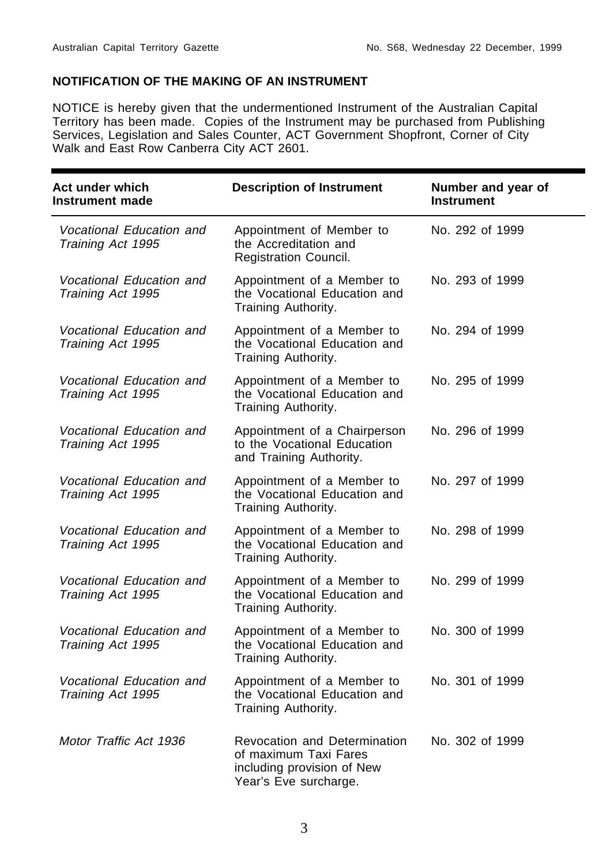#### **NOTIFICATION OF THE MAKING OF AN INSTRUMENT**

NOTICE is hereby given that the undermentioned Instrument of the Australian Capital Territory has been made. Copies of the Instrument may be purchased from Publishing Services, Legislation and Sales Counter, ACT Government Shopfront, Corner of City Walk and East Row Canberra City ACT 2601.

| Act under which<br><b>Instrument made</b>     | <b>Description of Instrument</b>                                                                             | Number and year of<br><b>Instrument</b> |
|-----------------------------------------------|--------------------------------------------------------------------------------------------------------------|-----------------------------------------|
| Vocational Education and<br>Training Act 1995 | Appointment of Member to<br>the Accreditation and<br>Registration Council.                                   | No. 292 of 1999                         |
| Vocational Education and<br>Training Act 1995 | Appointment of a Member to<br>the Vocational Education and<br>Training Authority.                            | No. 293 of 1999                         |
| Vocational Education and<br>Training Act 1995 | Appointment of a Member to<br>the Vocational Education and<br>Training Authority.                            | No. 294 of 1999                         |
| Vocational Education and<br>Training Act 1995 | Appointment of a Member to<br>the Vocational Education and<br>Training Authority.                            | No. 295 of 1999                         |
| Vocational Education and<br>Training Act 1995 | Appointment of a Chairperson<br>to the Vocational Education<br>and Training Authority.                       | No. 296 of 1999                         |
| Vocational Education and<br>Training Act 1995 | Appointment of a Member to<br>the Vocational Education and<br>Training Authority.                            | No. 297 of 1999                         |
| Vocational Education and<br>Training Act 1995 | Appointment of a Member to<br>the Vocational Education and<br>Training Authority.                            | No. 298 of 1999                         |
| Vocational Education and<br>Training Act 1995 | Appointment of a Member to<br>the Vocational Education and<br>Training Authority.                            | No. 299 of 1999                         |
| Vocational Education and<br>Training Act 1995 | Appointment of a Member to<br>the Vocational Education and<br>Training Authority.                            | No. 300 of 1999                         |
| Vocational Education and<br>Training Act 1995 | Appointment of a Member to<br>the Vocational Education and<br>Training Authority.                            | No. 301 of 1999                         |
| Motor Traffic Act 1936                        | Revocation and Determination<br>of maximum Taxi Fares<br>including provision of New<br>Year's Eve surcharge. | No. 302 of 1999                         |